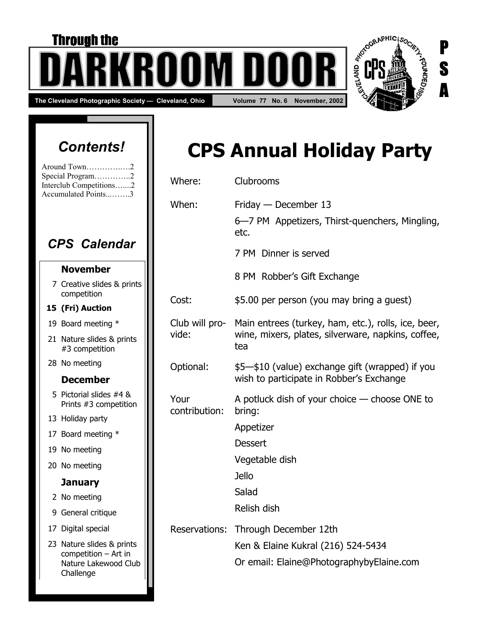# The Cleveland Photographic Society — Cleveland, Ohio **Volume 77 No. 6 November, 2002 Through the** T NT I

# *Contents!*

| Around Town2            |  |
|-------------------------|--|
| Special Program2        |  |
| Interclub Competitions2 |  |
| Accumulated Points3     |  |

### *CPS Calendar*

#### **November**

7 Creative slides & prints competition

#### **15 (Fri) Auction**

- 19 Board meeting \*
- 21 Nature slides & prints #3 competition
- 28 No meeting

### **December**

- 5 Pictorial slides #4 & Prints #3 competition
- 13 Holiday party
- 17 Board meeting \*
- 19 No meeting
- 20 No meeting

#### **January**

- 2 No meeting
- 9 General critique
- 17 Digital special
- 23 Nature slides & prints competition – Art in Nature Lakewood Club Challenge

# **CPS Annual Holiday Party**

S

A

| Where:                  | Clubrooms                                                                                                        |
|-------------------------|------------------------------------------------------------------------------------------------------------------|
| When:                   | Friday $-$ December 13<br>6–7 PM Appetizers, Thirst-quenchers, Mingling,<br>etc.                                 |
|                         | 7 PM Dinner is served                                                                                            |
|                         | 8 PM Robber's Gift Exchange                                                                                      |
| Cost:                   | \$5.00 per person (you may bring a guest)                                                                        |
| Club will pro-<br>vide: | Main entrees (turkey, ham, etc.), rolls, ice, beer,<br>wine, mixers, plates, silverware, napkins, coffee,<br>tea |
| Optional:               | \$5-\$10 (value) exchange gift (wrapped) if you<br>wish to participate in Robber's Exchange                      |
| Your<br>contribution:   | A potluck dish of your choice $-$ choose ONE to<br>bring:                                                        |
|                         | Appetizer                                                                                                        |
|                         | <b>Dessert</b>                                                                                                   |
|                         | Vegetable dish                                                                                                   |
|                         | <b>Jello</b>                                                                                                     |
|                         | Salad                                                                                                            |
|                         | Relish dish                                                                                                      |
| Reservations:           | Through December 12th                                                                                            |
|                         | Ken & Elaine Kukral (216) 524-5434                                                                               |
|                         | Or email: Elaine@PhotographybyElaine.com                                                                         |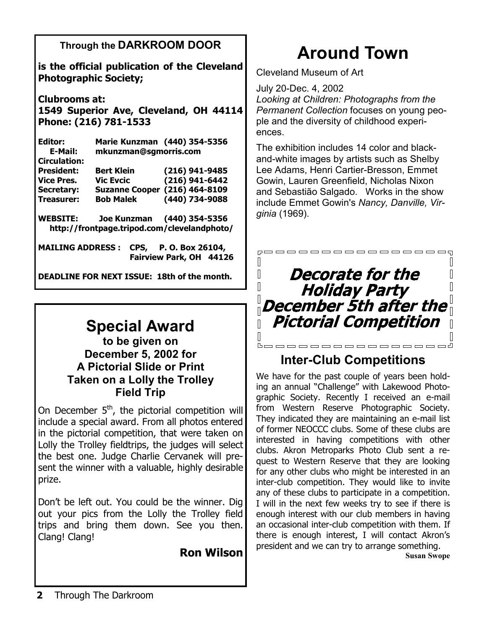### **Through the DARKROOM DOOR**

**is the official publication of the Cleveland Photographic Society;** 

**Clubrooms at: 1549 Superior Ave, Cleveland, OH 44114 Phone: (216) 781-1533** 

**Editor: Marie Kunzman (440) 354-5356 E-Mail: mkunzman@sgmorris.com Circulation: President: Bert Klein (216) 941-9485 Vice Pres. Vic Evcic (216) 941-6442 Secretary: Suzanne Cooper (216) 464-8109 Treasurer: Bob Malek (440) 734-9088 WEBSITE: Joe Kunzman (440) 354-5356 http://frontpage.tripod.com/clevelandphoto/** 

**MAILING ADDRESS : CPS, P. O. Box 26104, Fairview Park, OH 44126** 

**DEADLINE FOR NEXT ISSUE: 18th of the month.** 

## **Special Award**

**to be given on December 5, 2002 for A Pictorial Slide or Print Taken on a Lolly the Trolley Field Trip** 

On December  $5<sup>th</sup>$ , the pictorial competition will include a special award. From all photos entered in the pictorial competition, that were taken on Lolly the Trolley fieldtrips, the judges will select the best one. Judge Charlie Cervanek will present the winner with a valuable, highly desirable prize.

Don't be left out. You could be the winner. Dig out your pics from the Lolly the Trolley field trips and bring them down. See you then. Clang! Clang!

**Ron Wilson** 

# **Around Town**

Cleveland Museum of Art

July 20-Dec. 4, 2002 *Looking at Children: Photographs from the Permanent Collection* focuses on young people and the diversity of childhood experiences.

The exhibition includes 14 color and blackand-white images by artists such as Shelby Lee Adams, Henri Cartier-Bresson, Emmet Gowin, Lauren Greenfield, Nicholas Nixon and Sebastião Salgado. Works in the show include Emmet Gowin's *Nancy, Danville, Virginia* (1969).

#### pooooooooooooooq  $\mathbb{R}$  $\mathbf{\mathbf{\mathsf{I}}}\mathbf{\mathsf{I}}$ **Decorate for the**  $\overline{\mathbb{I}}$  $\mathbb{I}$  $\overline{\mathbb{R}}$ **Holiday Party**  $\mathbb{I}$ December 5th after the  $\mathop{\rule[0pt]{.5pt}{0.05cm}}\nolimits$ **Pictorial Competition**  $\sqrt{2}$  $\overline{\mathbb{R}}$ **Boooooooooooo**o  $\Box$

### **Inter-Club Competitions**

We have for the past couple of years been holding an annual "Challenge" with Lakewood Photographic Society. Recently I received an e-mail from Western Reserve Photographic Society. They indicated they are maintaining an e-mail list of former NEOCCC clubs. Some of these clubs are interested in having competitions with other clubs. Akron Metroparks Photo Club sent a request to Western Reserve that they are looking for any other clubs who might be interested in an inter-club competition. They would like to invite any of these clubs to participate in a competition. I will in the next few weeks try to see if there is enough interest with our club members in having an occasional inter-club competition with them. If there is enough interest, I will contact Akron's president and we can try to arrange something.

**Susan Swope**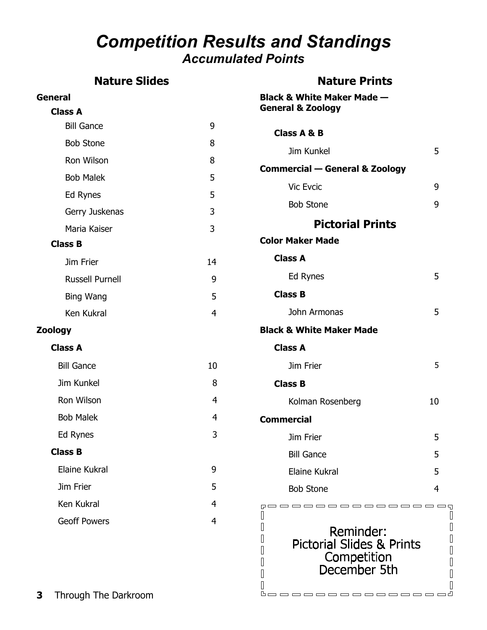### *Competition Results and Standings Accumulated Points*

### **Nature Slides**

### **Nature Prints**

booooooooooooood

| <b>General</b>         |    | <b>Black &amp; White Maker Made -</b>                                            |    |
|------------------------|----|----------------------------------------------------------------------------------|----|
| <b>Class A</b>         |    | <b>General &amp; Zoology</b>                                                     |    |
| <b>Bill Gance</b>      | 9  | <b>Class A &amp; B</b>                                                           |    |
| <b>Bob Stone</b>       | 8  | Jim Kunkel                                                                       | 5  |
| Ron Wilson             | 8  | <b>Commercial - General &amp; Zoology</b>                                        |    |
| <b>Bob Malek</b>       | 5  | Vic Evcic                                                                        | 9  |
| Ed Rynes               | 5  | <b>Bob Stone</b>                                                                 | 9  |
| Gerry Juskenas         | 3  |                                                                                  |    |
| Maria Kaiser           | 3  | <b>Pictorial Prints</b>                                                          |    |
| <b>Class B</b>         |    | <b>Color Maker Made</b>                                                          |    |
| Jim Frier              | 14 | <b>Class A</b>                                                                   |    |
| <b>Russell Purnell</b> | 9  | Ed Rynes                                                                         | 5  |
| Bing Wang              | 5  | <b>Class B</b>                                                                   |    |
| Ken Kukral             | 4  | John Armonas                                                                     | 5  |
| <b>Zoology</b>         |    | <b>Black &amp; White Maker Made</b>                                              |    |
| <b>Class A</b>         |    | <b>Class A</b>                                                                   |    |
| <b>Bill Gance</b>      | 10 | Jim Frier                                                                        | 5  |
| Jim Kunkel             | 8  | <b>Class B</b>                                                                   |    |
| Ron Wilson             | 4  | Kolman Rosenberg                                                                 | 10 |
| <b>Bob Malek</b>       | 4  | <b>Commercial</b>                                                                |    |
| Ed Rynes               | 3  | Jim Frier                                                                        | 5  |
| <b>Class B</b>         |    | <b>Bill Gance</b>                                                                | 5  |
| Elaine Kukral          | 9  | Elaine Kukral                                                                    | 5  |
| Jim Frier              | 5  | <b>Bob Stone</b>                                                                 | 4  |
| Ken Kukral             | 4  | -----                                                                            |    |
| <b>Geoff Powers</b>    | 4  | Reminder:<br><b>Pictorial Slides &amp; Prints</b><br>Competition<br>December 5th |    |